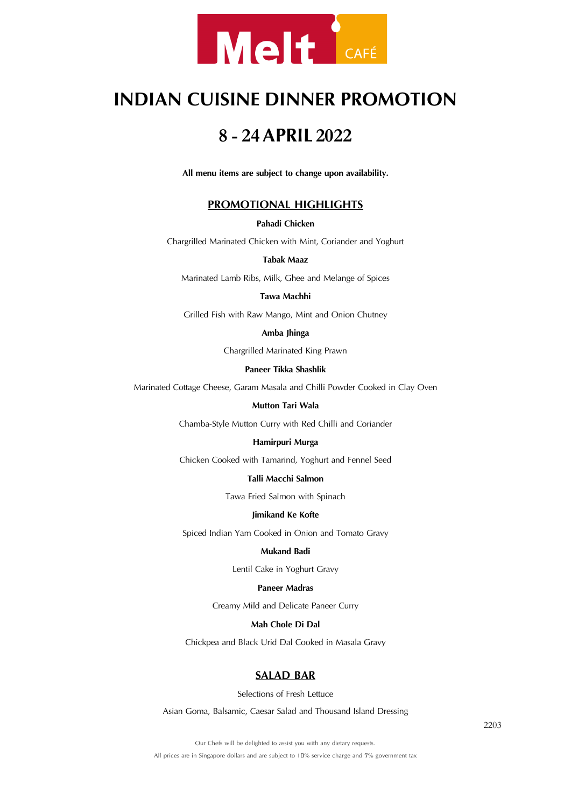

# **INDIAN CUISINE DINNER PROMOTION**

# **<sup>8</sup> - <sup>24</sup> APRIL <sup>2022</sup>**

**All menu items are subject to change upon availability.**

# **PROMOTIONAL HIGHLIGHTS**

## **Pahadi Chicken**

Chargrilled Marinated Chicken with Mint, Coriander and Yoghurt

#### **Tabak Maaz**

Marinated Lamb Ribs, Milk, Ghee and Melange of Spices

#### **Tawa Machhi**

Grilled Fish with Raw Mango, Mint and Onion Chutney

## **Amba Jhinga**

Chargrilled Marinated King Prawn

# **Paneer Tikka Shashlik**

Marinated Cottage Cheese, Garam Masala and Chilli Powder Cooked in Clay Oven

#### **Mutton Tari Wala**

Chamba-Style Mutton Curry with Red Chilli and Coriander

#### **Hamirpuri Murga**

Chicken Cooked with Tamarind, Yoghurt and Fennel Seed

## **Talli Macchi Salmon**

Tawa Fried Salmon with Spinach

#### **Jimikand Ke Kofte**

Spiced Indian Yam Cooked in Onion and Tomato Gravy

# **Mukand Badi**

Lentil Cake in Yoghurt Gravy

# **Paneer Madras**

Creamy Mild and Delicate Paneer Curry

## **Mah Chole Di Dal**

Chickpea and Black Urid Dal Cooked in Masala Gravy

# **SALAD BAR**

Selections of Fresh Lettuce

Asian Goma, Balsamic, Caesar Salad and Thousand Island Dressing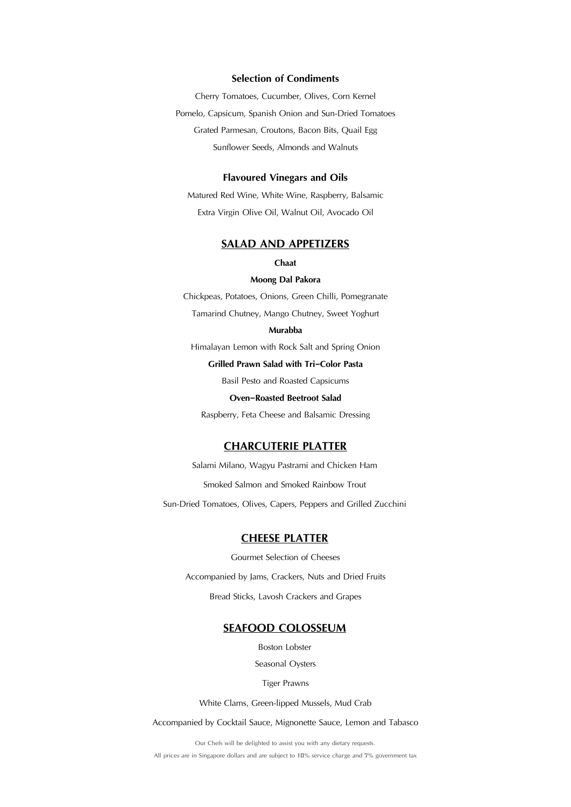# **Selection of Condiments**

Cherry Tomatoes, Cucumber, Olives, Corn Kernel Pomelo, Capsicum, Spanish Onion and Sun-Dried Tomatoes Grated Parmesan, Croutons, Bacon Bits, Quail Egg Sunflower Seeds, Almonds and Walnuts

#### **Flavoured Vinegars and Oils**

Matured Red Wine, White Wine, Raspberry, Balsamic Extra Virgin Olive Oil, Walnut Oil, Avocado Oil

# **SALAD AND APPETIZERS**

#### **Chaat**

#### **Moong Dal Pakora**

Chickpeas, Potatoes, Onions, Green Chilli, Pomegranate

Tamarind Chutney, Mango Chutney, Sweet Yoghurt

#### **Murabba**

Himalayan Lemon with Rock Salt and Spring Onion

## **Grilled Prawn Salad with Tri-Color Pasta**

Basil Pesto and Roasted Capsicums

#### **Oven-Roasted Beetroot Salad**

Raspberry, Feta Cheese and Balsamic Dressing

# **CHARCUTERIE PLATTER**

Salami Milano, Wagyu Pastrami and Chicken Ham

Smoked Salmon and Smoked Rainbow Trout

Sun-Dried Tomatoes, Olives, Capers, Peppers and Grilled Zucchini

# **CHEESE PLATTER**

Gourmet Selection of Cheeses Accompanied by Jams, Crackers, Nuts and Dried Fruits Bread Sticks, Lavosh Crackers and Grapes

# **SEAFOOD COLOSSEUM**

Boston Lobster

Seasonal Oysters

#### Tiger Prawns

White Clams, Green-lipped Mussels, Mud Crab

Accompanied by Cocktail Sauce, Mignonette Sauce, Lemon and Tabasco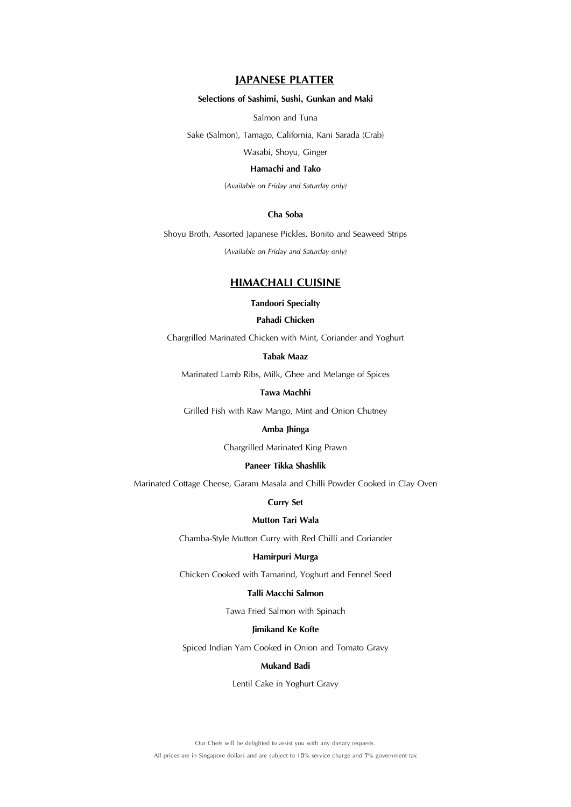# **JAPANESE PLATTER**

## **Selections of Sashimi, Sushi, Gunkan and Maki**

Salmon and Tuna

Sake (Salmon), Tamago, California, Kani Sarada (Crab)

Wasabi, Shoyu, Ginger

#### **Hamachi and Tako**

(*Available on Friday and Saturday only)*

# **Cha Soba**

Shoyu Broth, Assorted Japanese Pickles, Bonito and Seaweed Strips (*Available on Friday and Saturday only)*

# **HIMACHALI CUISINE**

## **Tandoori Specialty**

# **Pahadi Chicken**

Chargrilled Marinated Chicken with Mint, Coriander and Yoghurt

# **Tabak Maaz**

Marinated Lamb Ribs, Milk, Ghee and Melange of Spices

## **Tawa Machhi**

Grilled Fish with Raw Mango, Mint and Onion Chutney

#### **Amba Jhinga**

Chargrilled Marinated King Prawn

## **Paneer Tikka Shashlik**

Marinated Cottage Cheese, Garam Masala and Chilli Powder Cooked in Clay Oven

#### **Curry Set**

# **Mutton Tari Wala**

Chamba-Style Mutton Curry with Red Chilli and Coriander

#### **Hamirpuri Murga**

Chicken Cooked with Tamarind, Yoghurt and Fennel Seed

# **Talli Macchi Salmon**

Tawa Fried Salmon with Spinach

#### **Jimikand Ke Kofte**

Spiced Indian Yam Cooked in Onion and Tomato Gravy

# **Mukand Badi**

Lentil Cake in Yoghurt Gravy

Our Chefs will be delighted to assist you with any dietary requests.

All prices are in Singapore dollars and are subject to 10% service charge and 7% government tax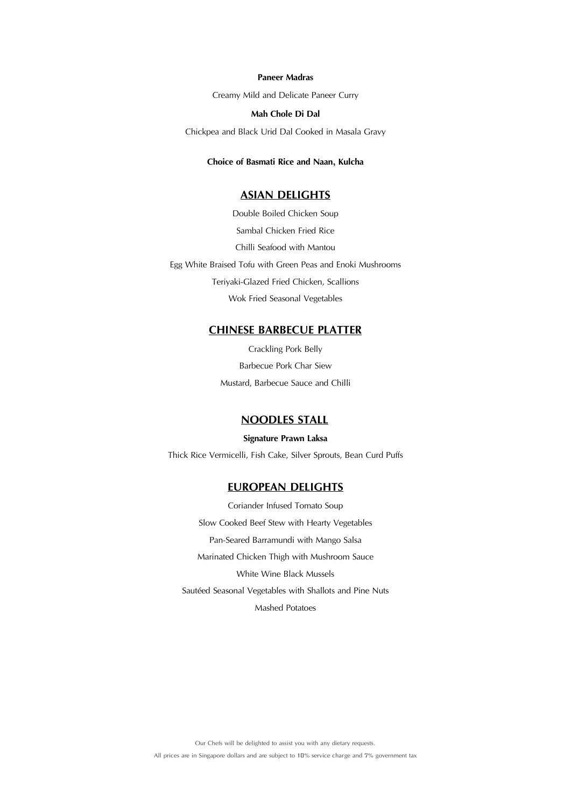#### **Paneer Madras**

Creamy Mild and Delicate Paneer Curry

# **Mah Chole Di Dal**

Chickpea and Black Urid Dal Cooked in Masala Gravy

# **Choice of Basmati Rice and Naan, Kulcha**

# **ASIAN DELIGHTS**

Double Boiled Chicken Soup Sambal Chicken Fried Rice Chilli Seafood with Mantou Egg White Braised Tofu with Green Peas and Enoki Mushrooms Teriyaki-Glazed Fried Chicken, Scallions Wok Fried Seasonal Vegetables

# **CHINESE BARBECUE PLATTER**

Crackling Pork Belly Barbecue Pork Char Siew Mustard, Barbecue Sauce and Chilli

# **NOODLES STALL**

**Signature Prawn Laksa** Thick Rice Vermicelli, Fish Cake, Silver Sprouts, Bean Curd Puffs

# **EUROPEAN DELIGHTS**

Coriander Infused Tomato Soup Slow Cooked Beef Stew with Hearty Vegetables Pan-Seared Barramundi with Mango Salsa Marinated Chicken Thigh with Mushroom Sauce White Wine Black Mussels Sautéed Seasonal Vegetables with Shallots and Pine Nuts Mashed Potatoes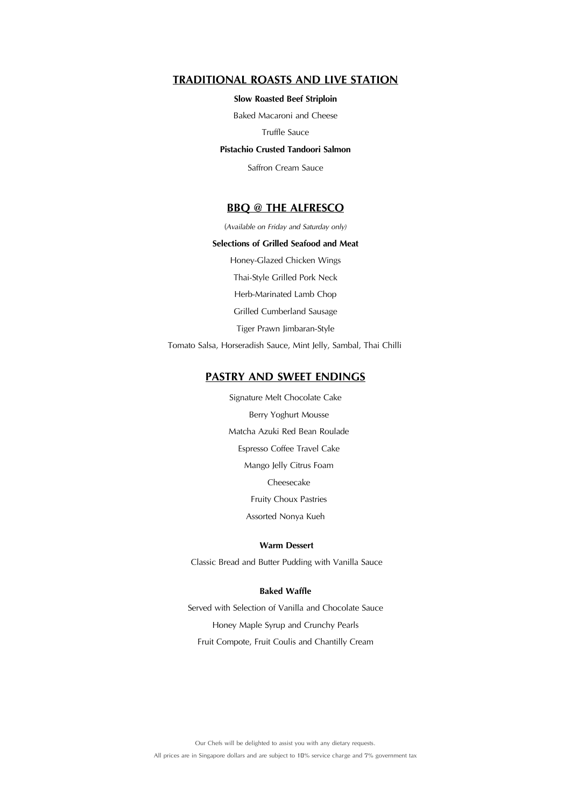# **TRADITIONAL ROASTS AND LIVE STATION**

## **Slow Roasted Beef Striploin**

Baked Macaroni and Cheese

#### Truffle Sauce

## **Pistachio Crusted Tandoori Salmon**

Saffron Cream Sauce

# **BBQ @ THE ALFRESCO**

(*Available on Friday and Saturday only)*

#### **Selections of Grilled Seafood and Meat**

Honey-Glazed Chicken Wings Thai-Style Grilled Pork Neck Herb-Marinated Lamb Chop Grilled Cumberland Sausage Tiger Prawn Jimbaran-Style

Tomato Salsa, Horseradish Sauce, Mint Jelly, Sambal, Thai Chilli

# **PASTRY AND SWEET ENDINGS**

Signature Melt Chocolate Cake Berry Yoghurt Mousse Matcha Azuki Red Bean Roulade Espresso Coffee Travel Cake Mango Jelly Citrus Foam Cheesecake Fruity Choux Pastries Assorted Nonya Kueh

# **Warm Dessert**

Classic Bread and Butter Pudding with Vanilla Sauce

## **Baked Waffle**

Served with Selection of Vanilla and Chocolate Sauce Honey Maple Syrup and Crunchy Pearls Fruit Compote, Fruit Coulis and Chantilly Cream